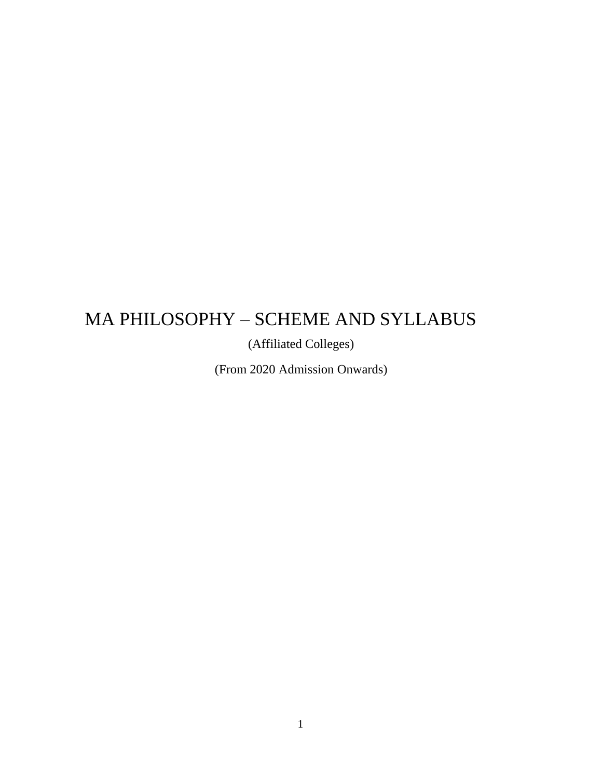# MA PHILOSOPHY – SCHEME AND SYLLABUS

(Affiliated Colleges)

(From 2020 Admission Onwards)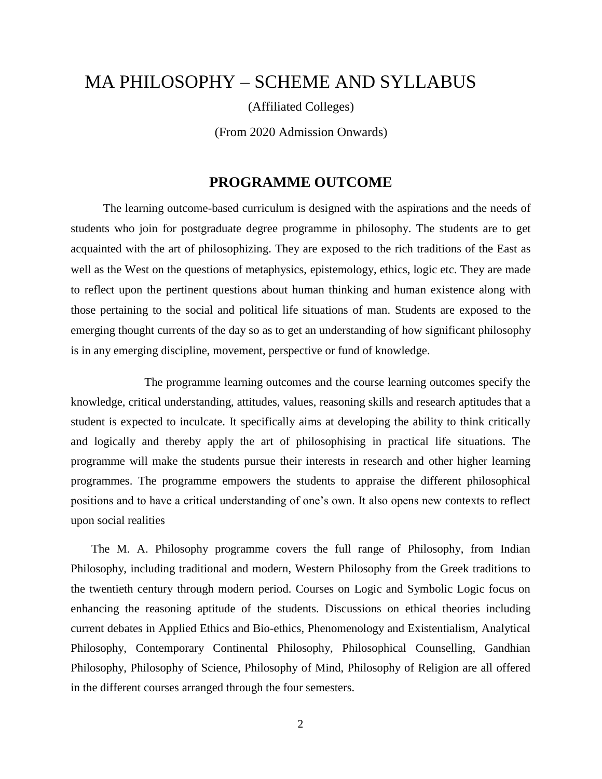# MA PHILOSOPHY – SCHEME AND SYLLABUS

(Affiliated Colleges)

(From 2020 Admission Onwards)

# **PROGRAMME OUTCOME**

The learning outcome-based curriculum is designed with the aspirations and the needs of students who join for postgraduate degree programme in philosophy. The students are to get acquainted with the art of philosophizing. They are exposed to the rich traditions of the East as well as the West on the questions of metaphysics, epistemology, ethics, logic etc. They are made to reflect upon the pertinent questions about human thinking and human existence along with those pertaining to the social and political life situations of man. Students are exposed to the emerging thought currents of the day so as to get an understanding of how significant philosophy is in any emerging discipline, movement, perspective or fund of knowledge.

 The programme learning outcomes and the course learning outcomes specify the knowledge, critical understanding, attitudes, values, reasoning skills and research aptitudes that a student is expected to inculcate. It specifically aims at developing the ability to think critically and logically and thereby apply the art of philosophising in practical life situations. The programme will make the students pursue their interests in research and other higher learning programmes. The programme empowers the students to appraise the different philosophical positions and to have a critical understanding of one's own. It also opens new contexts to reflect upon social realities

The M. A. Philosophy programme covers the full range of Philosophy, from Indian Philosophy, including traditional and modern, Western Philosophy from the Greek traditions to the twentieth century through modern period. Courses on Logic and Symbolic Logic focus on enhancing the reasoning aptitude of the students. Discussions on ethical theories including current debates in Applied Ethics and Bio-ethics, Phenomenology and Existentialism, Analytical Philosophy, Contemporary Continental Philosophy, Philosophical Counselling, Gandhian Philosophy, Philosophy of Science, Philosophy of Mind, Philosophy of Religion are all offered in the different courses arranged through the four semesters.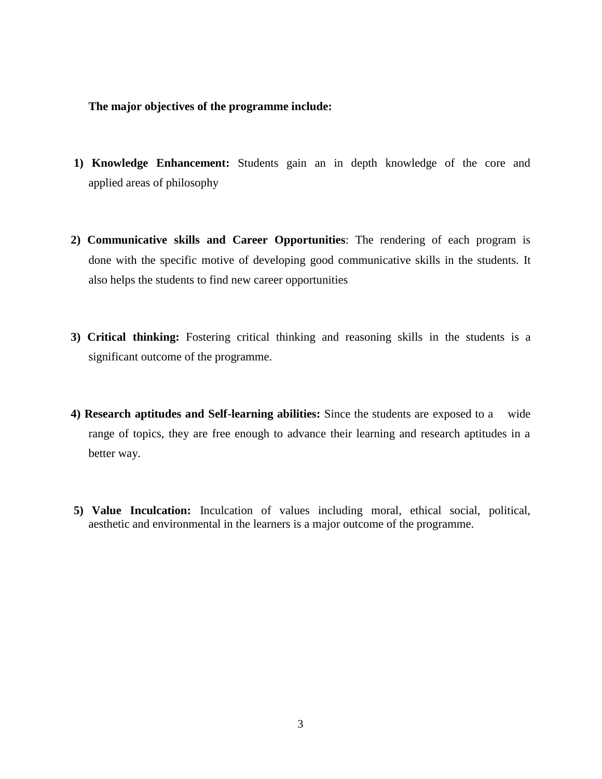#### **The major objectives of the programme include:**

- **1) Knowledge Enhancement:** Students gain an in depth knowledge of the core and applied areas of philosophy
- **2) Communicative skills and Career Opportunities**: The rendering of each program is done with the specific motive of developing good communicative skills in the students. It also helps the students to find new career opportunities
- **3) Critical thinking:** Fostering critical thinking and reasoning skills in the students is a significant outcome of the programme.
- **4) Research aptitudes and Self-learning abilities:** Since the students are exposed to a wide range of topics, they are free enough to advance their learning and research aptitudes in a better way.
- **5) Value Inculcation:** Inculcation of values including moral, ethical social, political, aesthetic and environmental in the learners is a major outcome of the programme.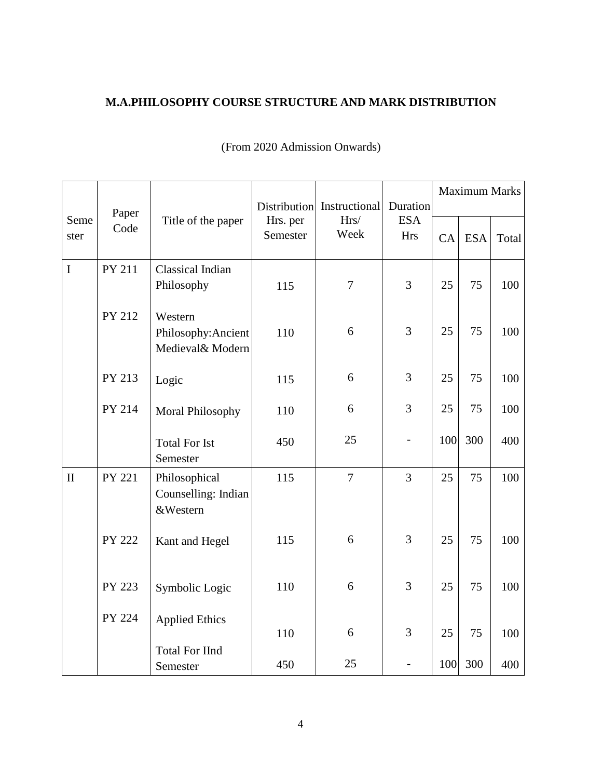# **M.A.PHILOSOPHY COURSE STRUCTURE AND MARK DISTRIBUTION**

|              | Paper<br>Code | Title of the paper                                 | Hrs. per<br>Semester | Distribution Instructional<br>Hrs/<br>Week | Duration<br><b>ESA</b><br><b>Hrs</b> | <b>Maximum Marks</b> |            |       |
|--------------|---------------|----------------------------------------------------|----------------------|--------------------------------------------|--------------------------------------|----------------------|------------|-------|
| Seme<br>ster |               |                                                    |                      |                                            |                                      | CA                   | <b>ESA</b> | Total |
| $\mathbf I$  | PY 211        | Classical Indian<br>Philosophy                     | 115                  | $\overline{7}$                             | $\overline{3}$                       | 25                   | 75         | 100   |
|              | PY 212        | Western<br>Philosophy: Ancient<br>Medieval& Modern | 110                  | 6                                          | 3                                    | 25                   | 75         | 100   |
|              | PY 213        | Logic                                              | 115                  | 6                                          | 3                                    | 25                   | 75         | 100   |
|              | PY 214        | Moral Philosophy                                   | 110                  | 6                                          | 3                                    | 25                   | 75         | 100   |
|              |               | <b>Total For Ist</b><br>Semester                   | 450                  | 25                                         | $\overline{\phantom{0}}$             | 100                  | 300        | 400   |
| $\mathbf{I}$ | PY 221        | Philosophical<br>Counselling: Indian<br>&Western   | 115                  | $\overline{7}$                             | $\overline{3}$                       | 25                   | 75         | 100   |
|              | <b>PY 222</b> | Kant and Hegel                                     | 115                  | 6                                          | 3                                    | 25                   | 75         | 100   |
|              | PY 223        | Symbolic Logic                                     | 110                  | 6                                          | 3                                    | 25                   | 75         | 100   |
|              | PY 224        | <b>Applied Ethics</b>                              | 110                  | 6                                          | 3                                    | 25                   | 75         | 100   |
|              |               | <b>Total For IInd</b><br>Semester                  | 450                  | 25                                         |                                      | 100                  | 300        | 400   |

# (From 2020 Admission Onwards)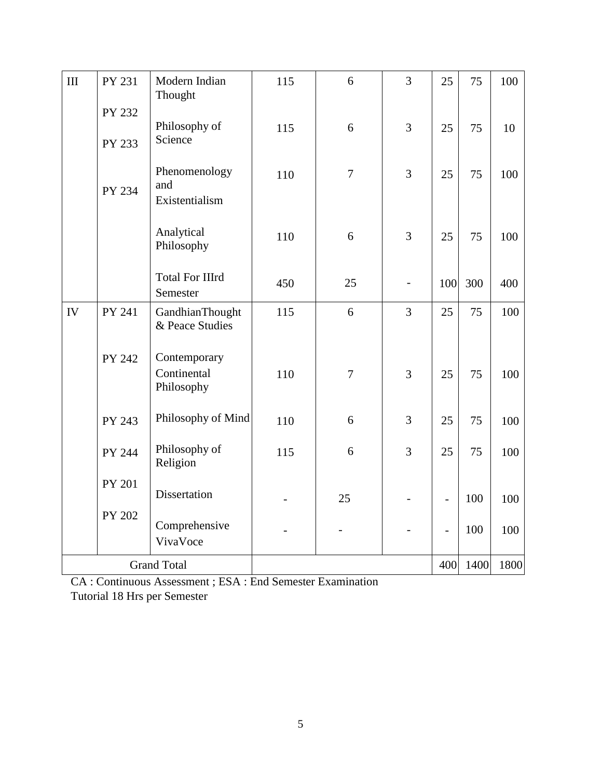| $\rm III$          | PY 231 | Modern Indian<br>Thought                  | 115 | 6              | 3              | 25                       | 75   | 100  |
|--------------------|--------|-------------------------------------------|-----|----------------|----------------|--------------------------|------|------|
|                    | PY 232 | Philosophy of                             | 115 | 6              | 3              | 25                       | 75   | 10   |
|                    | PY 233 | Science                                   |     |                |                |                          |      |      |
|                    | PY 234 | Phenomenology<br>and<br>Existentialism    | 110 | $\overline{7}$ | 3              | 25                       | 75   | 100  |
|                    |        | Analytical<br>Philosophy                  | 110 | 6              | 3              | 25                       | 75   | 100  |
|                    |        | <b>Total For IIIrd</b><br>Semester        | 450 | 25             |                | 100                      | 300  | 400  |
| IV                 | PY 241 | GandhianThought<br>& Peace Studies        | 115 | 6              | $\overline{3}$ | 25                       | 75   | 100  |
|                    | PY 242 | Contemporary<br>Continental<br>Philosophy | 110 | $\overline{7}$ | 3              | 25                       | 75   | 100  |
|                    | PY 243 | Philosophy of Mind                        | 110 | 6              | 3              | 25                       | 75   | 100  |
|                    | PY 244 | Philosophy of<br>Religion                 | 115 | 6              | 3              | 25                       | 75   | 100  |
|                    | PY 201 | Dissertation                              |     | 25             |                | $\overline{\phantom{0}}$ | 100  | 100  |
|                    | PY 202 | Comprehensive<br>VivaVoce                 |     |                |                | $\frac{1}{2}$            | 100  | 100  |
| <b>Grand Total</b> |        |                                           |     |                |                | 400                      | 1400 | 1800 |

CA : Continuous Assessment ; ESA : End Semester Examination Tutorial 18 Hrs per Semester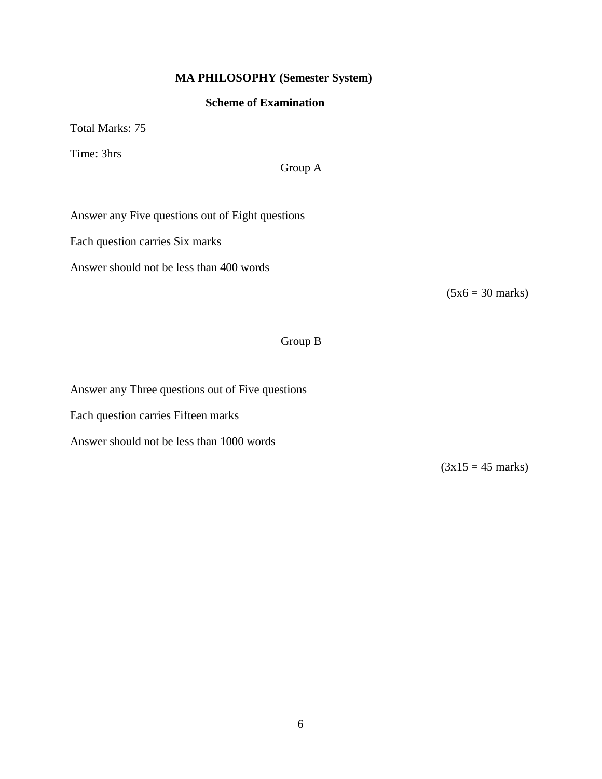## **MA PHILOSOPHY (Semester System)**

#### **Scheme of Examination**

Total Marks: 75

Time: 3hrs

### Group A

Answer any Five questions out of Eight questions

Each question carries Six marks

Answer should not be less than 400 words

 $(5x6 = 30 \text{ marks})$ 

# Group B

Answer any Three questions out of Five questions

Each question carries Fifteen marks

Answer should not be less than 1000 words

 $(3x15 = 45 \text{ marks})$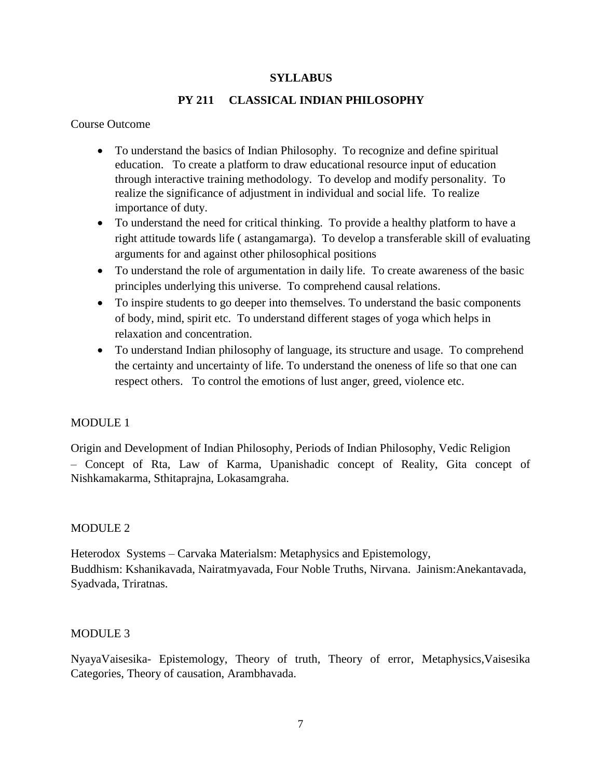#### **SYLLABUS**

### **PY 211 CLASSICAL INDIAN PHILOSOPHY**

#### Course Outcome

- To understand the basics of Indian Philosophy. To recognize and define spiritual education. To create a platform to draw educational resource input of education through interactive training methodology. To develop and modify personality. To realize the significance of adjustment in individual and social life. To realize importance of duty.
- To understand the need for critical thinking. To provide a healthy platform to have a right attitude towards life ( astangamarga). To develop a transferable skill of evaluating arguments for and against other philosophical positions
- To understand the role of argumentation in daily life. To create awareness of the basic principles underlying this universe. To comprehend causal relations.
- To inspire students to go deeper into themselves. To understand the basic components of body, mind, spirit etc. To understand different stages of yoga which helps in relaxation and concentration.
- To understand Indian philosophy of language, its structure and usage. To comprehend the certainty and uncertainty of life. To understand the oneness of life so that one can respect others. To control the emotions of lust anger, greed, violence etc.

#### MODULE 1

Origin and Development of Indian Philosophy, Periods of Indian Philosophy, Vedic Religion – Concept of Rta, Law of Karma, Upanishadic concept of Reality, Gita concept of Nishkamakarma, Sthitaprajna, Lokasamgraha.

#### MODULE 2

Heterodox Systems – Carvaka Materialsm: Metaphysics and Epistemology, Buddhism: Kshanikavada, Nairatmyavada, Four Noble Truths, Nirvana. Jainism:Anekantavada, Syadvada, Triratnas.

#### MODULE 3

NyayaVaisesika- Epistemology, Theory of truth, Theory of error, Metaphysics,Vaisesika Categories, Theory of causation, Arambhavada.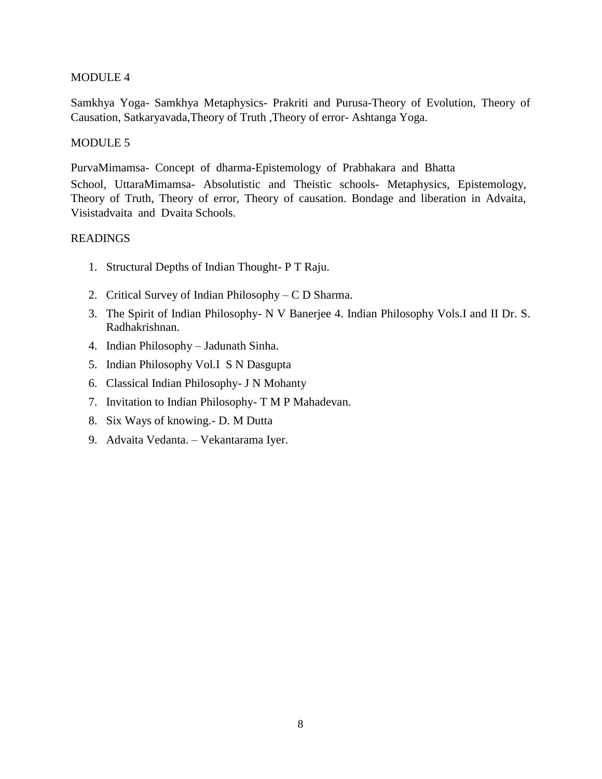#### MODULE 4

Samkhya Yoga- Samkhya Metaphysics- Prakriti and Purusa-Theory of Evolution, Theory of Causation, Satkaryavada,Theory of Truth ,Theory of error- Ashtanga Yoga.

#### MODULE 5

PurvaMimamsa- Concept of dharma-Epistemology of Prabhakara and Bhatta

School, UttaraMimamsa- Absolutistic and Theistic schools- Metaphysics, Epistemology, Theory of Truth, Theory of error, Theory of causation. Bondage and liberation in Advaita, Visistadvaita and Dvaita Schools.

- 1. Structural Depths of Indian Thought- P T Raju.
- 2. Critical Survey of Indian Philosophy C D Sharma.
- 3. The Spirit of Indian Philosophy- N V Banerjee 4. Indian Philosophy Vols.I and II Dr. S. Radhakrishnan.
- 4. Indian Philosophy Jadunath Sinha.
- 5. Indian Philosophy Vol.I S N Dasgupta
- 6. Classical Indian Philosophy- J N Mohanty
- 7. Invitation to Indian Philosophy- T M P Mahadevan.
- 8. Six Ways of knowing.- D. M Dutta
- 9. Advaita Vedanta. Vekantarama Iyer.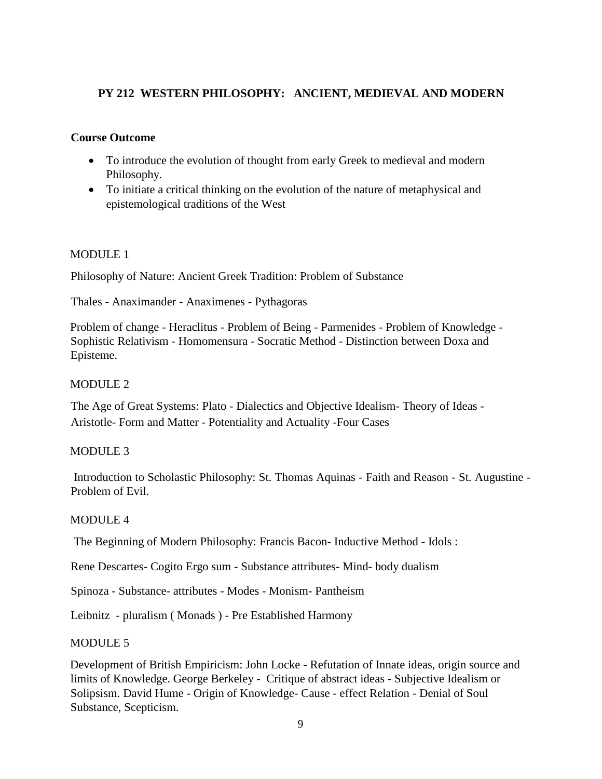### **PY 212 WESTERN PHILOSOPHY: ANCIENT, MEDIEVAL AND MODERN**

### **Course Outcome**

- To introduce the evolution of thought from early Greek to medieval and modern Philosophy.
- To initiate a critical thinking on the evolution of the nature of metaphysical and epistemological traditions of the West

#### MODULE 1

Philosophy of Nature: Ancient Greek Tradition: Problem of Substance

Thales - Anaximander - Anaximenes - Pythagoras

Problem of change - Heraclitus - Problem of Being - Parmenides - Problem of Knowledge - Sophistic Relativism - Homomensura - Socratic Method - Distinction between Doxa and Episteme.

### MODULE 2

The Age of Great Systems: Plato - Dialectics and Objective Idealism- Theory of Ideas - Aristotle- Form and Matter - Potentiality and Actuality -Four Cases

#### MODULE 3

Introduction to Scholastic Philosophy: St. Thomas Aquinas - Faith and Reason - St. Augustine - Problem of Evil.

#### MODULE 4

The Beginning of Modern Philosophy: Francis Bacon- Inductive Method - Idols :

Rene Descartes- Cogito Ergo sum - Substance attributes- Mind- body dualism

Spinoza - Substance- attributes - Modes - Monism- Pantheism

Leibnitz - pluralism ( Monads ) - Pre Established Harmony

#### MODULE 5

Development of British Empiricism: John Locke - Refutation of Innate ideas, origin source and limits of Knowledge. George Berkeley - Critique of abstract ideas - Subjective Idealism or Solipsism. David Hume - Origin of Knowledge- Cause - effect Relation - Denial of Soul Substance, Scepticism.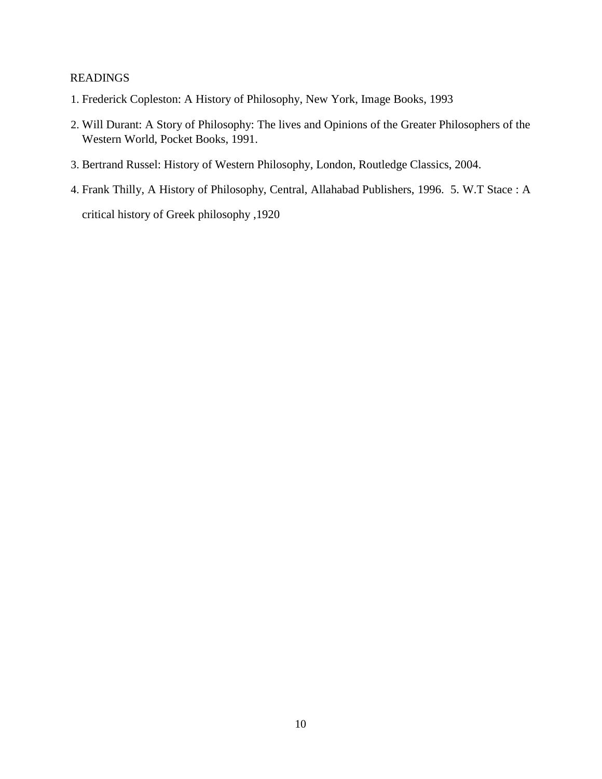- 1. Frederick Copleston: A History of Philosophy, New York, Image Books, 1993
- 2. Will Durant: A Story of Philosophy: The lives and Opinions of the Greater Philosophers of the Western World, Pocket Books, 1991.
- 3. Bertrand Russel: History of Western Philosophy, London, Routledge Classics, 2004.
- 4. Frank Thilly, A History of Philosophy, Central, Allahabad Publishers, 1996. 5. W.T Stace : A critical history of Greek philosophy ,1920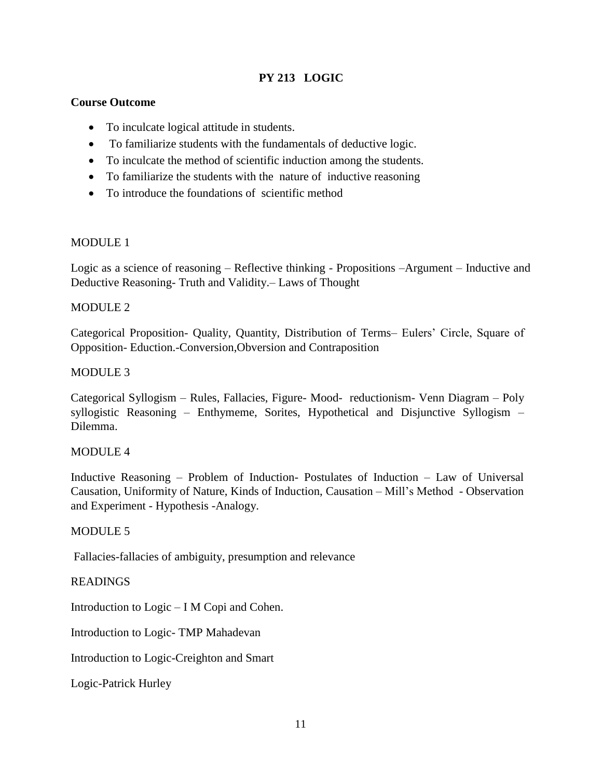# **PY 213 LOGIC**

### **Course Outcome**

- To inculcate logical attitude in students.
- To familiarize students with the fundamentals of deductive logic.
- To inculcate the method of scientific induction among the students.
- To familiarize the students with the nature of inductive reasoning
- To introduce the foundations of scientific method

#### MODULE 1

Logic as a science of reasoning – Reflective thinking - Propositions –Argument – Inductive and Deductive Reasoning- Truth and Validity.– Laws of Thought

#### MODULE 2

Categorical Proposition- Quality, Quantity, Distribution of Terms– Eulers' Circle, Square of Opposition- Eduction.-Conversion,Obversion and Contraposition

#### MODULE 3

Categorical Syllogism – Rules, Fallacies, Figure- Mood- reductionism- Venn Diagram – Poly syllogistic Reasoning – Enthymeme, Sorites, Hypothetical and Disjunctive Syllogism – Dilemma.

#### MODULE 4

Inductive Reasoning – Problem of Induction- Postulates of Induction – Law of Universal Causation, Uniformity of Nature, Kinds of Induction, Causation – Mill's Method - Observation and Experiment - Hypothesis -Analogy.

#### MODULE 5

Fallacies-fallacies of ambiguity, presumption and relevance

#### **READINGS**

Introduction to Logic – I M Copi and Cohen.

Introduction to Logic- TMP Mahadevan

Introduction to Logic-Creighton and Smart

Logic-Patrick Hurley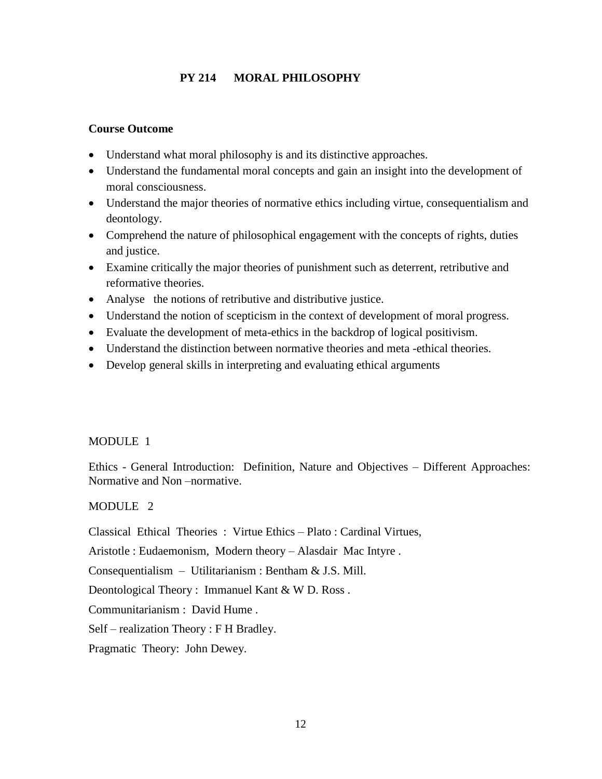### **PY 214 MORAL PHILOSOPHY**

### **Course Outcome**

- Understand what moral philosophy is and its distinctive approaches.
- Understand the fundamental moral concepts and gain an insight into the development of moral consciousness.
- Understand the major theories of normative ethics including virtue, consequentialism and deontology.
- Comprehend the nature of philosophical engagement with the concepts of rights, duties and justice.
- Examine critically the major theories of punishment such as deterrent, retributive and reformative theories.
- Analyse the notions of retributive and distributive justice.
- Understand the notion of scepticism in the context of development of moral progress.
- Evaluate the development of meta-ethics in the backdrop of logical positivism.
- Understand the distinction between normative theories and meta -ethical theories.
- Develop general skills in interpreting and evaluating ethical arguments

### MODULE 1

Ethics - General Introduction: Definition, Nature and Objectives – Different Approaches: Normative and Non –normative.

#### MODULE 2

Classical Ethical Theories : Virtue Ethics – Plato : Cardinal Virtues,

Aristotle : Eudaemonism, Modern theory – Alasdair Mac Intyre .

Consequentialism – Utilitarianism : Bentham & J.S. Mill.

Deontological Theory : Immanuel Kant & W D. Ross .

Communitarianism : David Hume .

Self – realization Theory : F H Bradley.

Pragmatic Theory: John Dewey.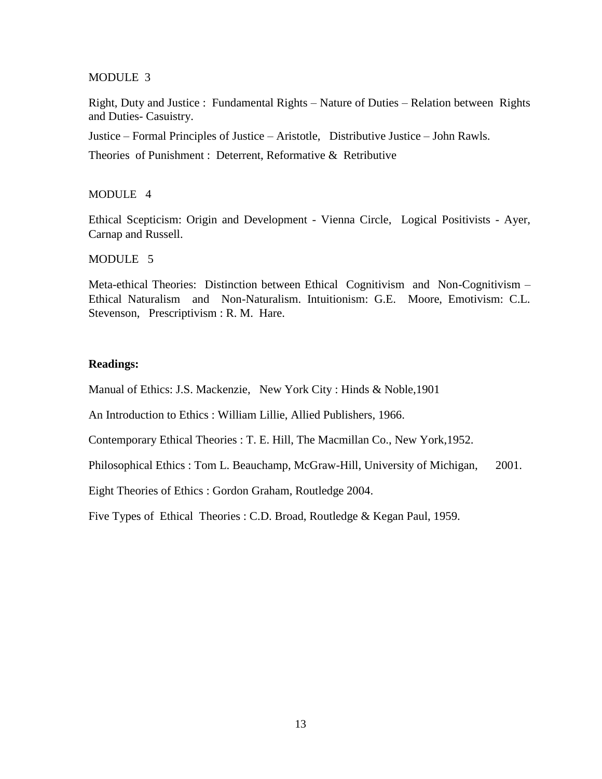#### MODULE 3

Right, Duty and Justice : Fundamental Rights – Nature of Duties – Relation between Rights and Duties- Casuistry.

Justice – Formal Principles of Justice – Aristotle, Distributive Justice – John Rawls.

Theories of Punishment : Deterrent, Reformative & Retributive

#### MODULE 4

Ethical Scepticism: Origin and Development - Vienna Circle, Logical Positivists - Ayer, Carnap and Russell.

MODULE 5

Meta-ethical Theories: Distinction between Ethical Cognitivism and Non-Cognitivism – Ethical Naturalism and Non-Naturalism. Intuitionism: G.E. Moore, Emotivism: C.L. Stevenson, Prescriptivism : R. M. Hare.

#### **Readings:**

Manual of Ethics: J.S. Mackenzie, New York City : Hinds & Noble,1901

An Introduction to Ethics : William Lillie, Allied Publishers, 1966.

Contemporary Ethical Theories : T. E. Hill, The Macmillan Co., New York,1952.

Philosophical Ethics : Tom L. Beauchamp, McGraw-Hill, University of Michigan, 2001.

Eight Theories of Ethics : Gordon Graham, Routledge 2004.

Five Types of Ethical Theories : C.D. Broad, Routledge & Kegan Paul, 1959.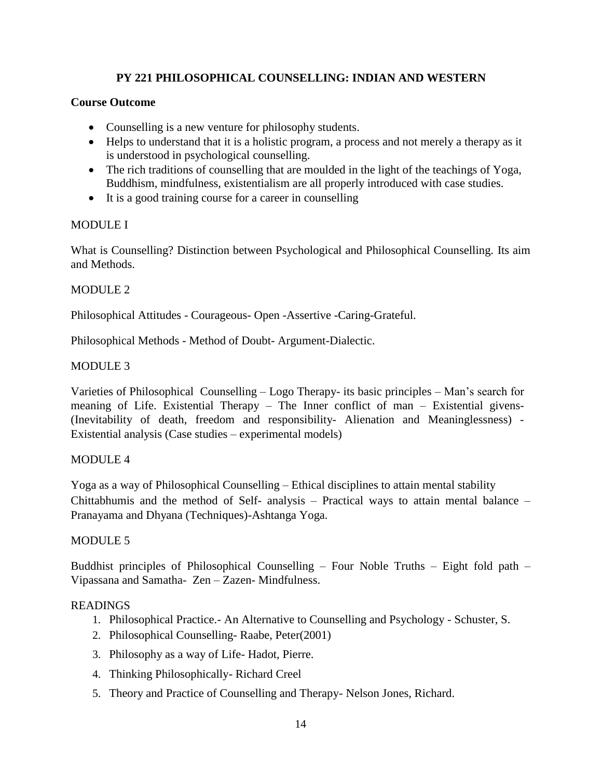# **PY 221 PHILOSOPHICAL COUNSELLING: INDIAN AND WESTERN**

### **Course Outcome**

- Counselling is a new venture for philosophy students.
- Helps to understand that it is a holistic program, a process and not merely a therapy as it is understood in psychological counselling.
- The rich traditions of counselling that are moulded in the light of the teachings of Yoga, Buddhism, mindfulness, existentialism are all properly introduced with case studies.
- It is a good training course for a career in counselling

### MODULE I

What is Counselling? Distinction between Psychological and Philosophical Counselling. Its aim and Methods.

### MODULE 2

Philosophical Attitudes - Courageous- Open -Assertive -Caring-Grateful.

Philosophical Methods - Method of Doubt- Argument-Dialectic.

### MODULE 3

Varieties of Philosophical Counselling – Logo Therapy- its basic principles – Man's search for meaning of Life. Existential Therapy – The Inner conflict of man – Existential givens- (Inevitability of death, freedom and responsibility- Alienation and Meaninglessness) - Existential analysis (Case studies – experimental models)

#### MODULE 4

Yoga as a way of Philosophical Counselling – Ethical disciplines to attain mental stability Chittabhumis and the method of Self- analysis – Practical ways to attain mental balance – Pranayama and Dhyana (Techniques)-Ashtanga Yoga.

### MODULE 5

Buddhist principles of Philosophical Counselling – Four Noble Truths – Eight fold path – Vipassana and Samatha- Zen – Zazen- Mindfulness.

- 1. Philosophical Practice.- An Alternative to Counselling and Psychology Schuster, S.
- 2. Philosophical Counselling- Raabe, Peter(2001)
- 3. Philosophy as a way of Life- Hadot, Pierre.
- 4. Thinking Philosophically- Richard Creel
- 5. Theory and Practice of Counselling and Therapy- Nelson Jones, Richard.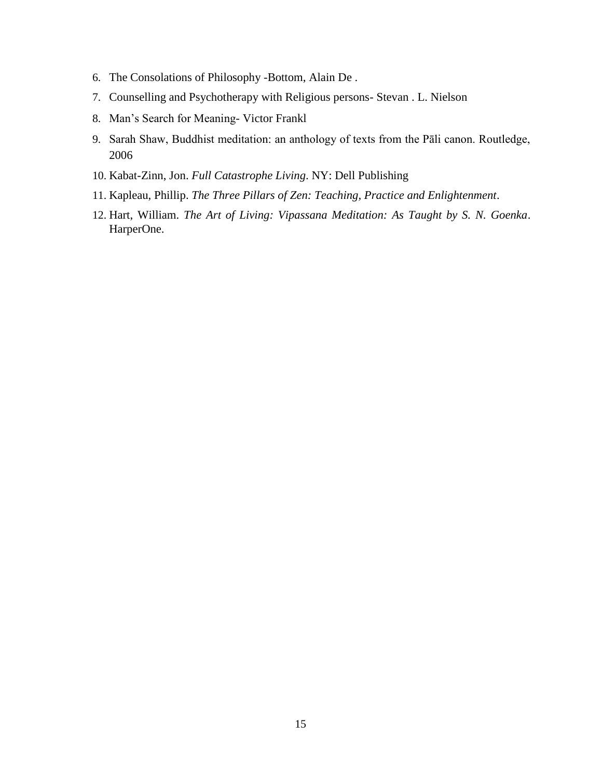- 6. The Consolations of Philosophy -Bottom, Alain De .
- 7. Counselling and Psychotherapy with Religious persons- Stevan . L. Nielson
- 8. Man's Search for Meaning- Victor Frankl
- 9. Sarah Shaw, Buddhist meditation: an anthology of texts from the Pāli canon. Routledge, 2006
- 10. Kabat-Zinn, Jon. *Full Catastrophe Living*. NY: Dell Publishing
- 11. Kapleau, Phillip. *The Three Pillars of Zen: Teaching, Practice and Enlightenment*.
- 12. Hart, William. *The Art of Living: Vipassana Meditation: As Taught by S. N. Goenka*. HarperOne.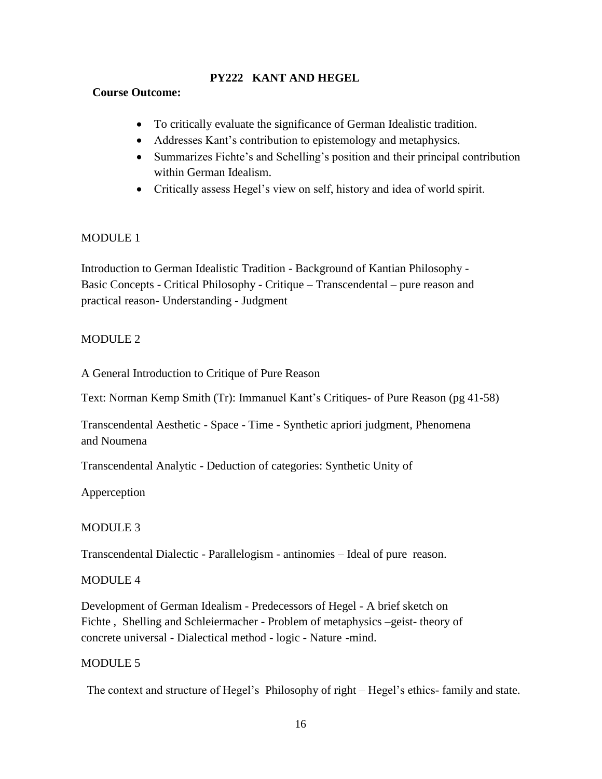### **PY222 KANT AND HEGEL**

### **Course Outcome:**

- To critically evaluate the significance of German Idealistic tradition.
- Addresses Kant's contribution to epistemology and metaphysics.
- Summarizes Fichte's and Schelling's position and their principal contribution within German Idealism.
- Critically assess Hegel's view on self, history and idea of world spirit.

### MODULE 1

Introduction to German Idealistic Tradition - Background of Kantian Philosophy - Basic Concepts - Critical Philosophy - Critique – Transcendental – pure reason and practical reason- Understanding - Judgment

### MODULE 2

A General Introduction to Critique of Pure Reason

Text: Norman Kemp Smith (Tr): Immanuel Kant's Critiques- of Pure Reason (pg 41-58)

Transcendental Aesthetic - Space - Time - Synthetic apriori judgment, Phenomena and Noumena

Transcendental Analytic - Deduction of categories: Synthetic Unity of

Apperception

### MODULE 3

Transcendental Dialectic - Parallelogism - antinomies – Ideal of pure reason.

### MODULE 4

Development of German Idealism - Predecessors of Hegel - A brief sketch on Fichte , Shelling and Schleiermacher - Problem of metaphysics –geist- theory of concrete universal - Dialectical method - logic - Nature -mind.

#### MODULE 5

The context and structure of Hegel's Philosophy of right – Hegel's ethics- family and state.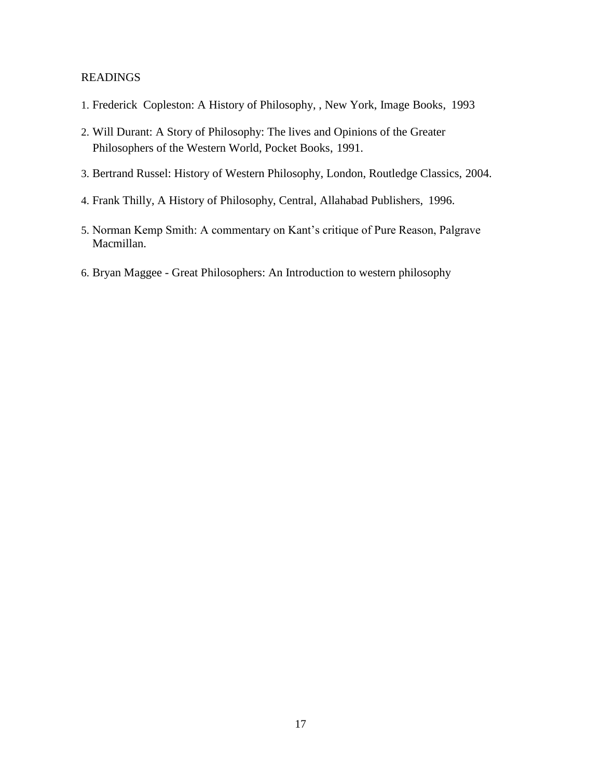- 1. Frederick Copleston: A History of Philosophy, , New York, Image Books, 1993
- 2. Will Durant: A Story of Philosophy: The lives and Opinions of the Greater Philosophers of the Western World, Pocket Books, 1991.
- 3. Bertrand Russel: History of Western Philosophy, London, Routledge Classics, 2004.
- 4. Frank Thilly, A History of Philosophy, Central, Allahabad Publishers, 1996.
- 5. Norman Kemp Smith: A commentary on Kant's critique of Pure Reason, Palgrave Macmillan.
- 6. Bryan Maggee Great Philosophers: An Introduction to western philosophy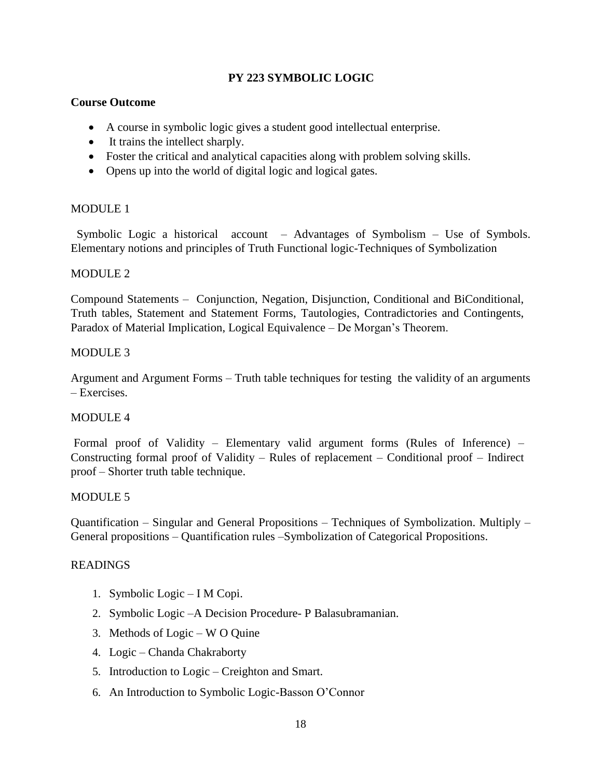### **PY 223 SYMBOLIC LOGIC**

### **Course Outcome**

- A course in symbolic logic gives a student good intellectual enterprise.
- It trains the intellect sharply.
- Foster the critical and analytical capacities along with problem solving skills.
- Opens up into the world of digital logic and logical gates.

### MODULE 1

Symbolic Logic a historical account – Advantages of Symbolism – Use of Symbols. Elementary notions and principles of Truth Functional logic-Techniques of Symbolization

### MODULE 2

Compound Statements – Conjunction, Negation, Disjunction, Conditional and BiConditional, Truth tables, Statement and Statement Forms, Tautologies, Contradictories and Contingents, Paradox of Material Implication, Logical Equivalence – De Morgan's Theorem.

### MODULE 3

Argument and Argument Forms – Truth table techniques for testing the validity of an arguments – Exercises.

### MODULE 4

Formal proof of Validity – Elementary valid argument forms (Rules of Inference) – Constructing formal proof of Validity – Rules of replacement – Conditional proof – Indirect proof – Shorter truth table technique.

### MODULE 5

Quantification – Singular and General Propositions – Techniques of Symbolization. Multiply – General propositions – Quantification rules –Symbolization of Categorical Propositions.

- 1. Symbolic Logic I M Copi.
- 2. Symbolic Logic –A Decision Procedure- P Balasubramanian.
- 3. Methods of Logic W O Quine
- 4. Logic Chanda Chakraborty
- 5. Introduction to Logic Creighton and Smart.
- 6. An Introduction to Symbolic Logic-Basson O'Connor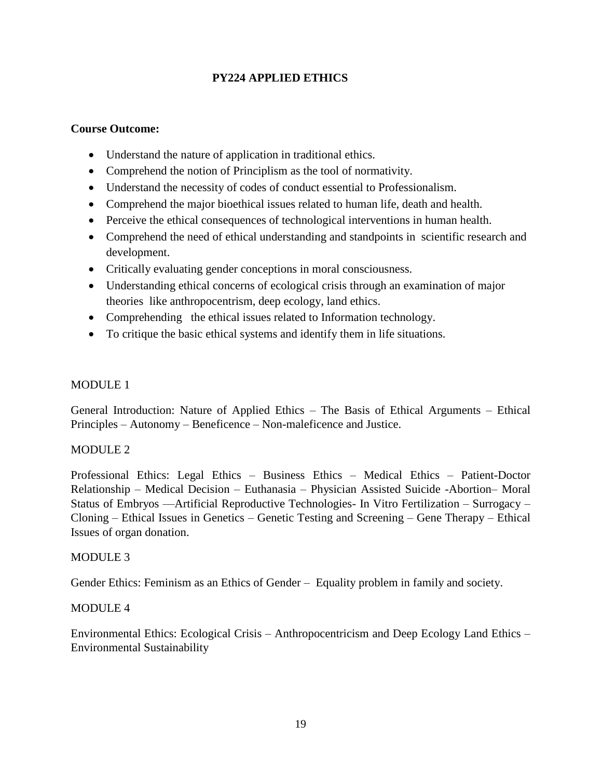# **PY224 APPLIED ETHICS**

### **Course Outcome:**

- Understand the nature of application in traditional ethics.
- Comprehend the notion of Principlism as the tool of normativity.
- Understand the necessity of codes of conduct essential to Professionalism.
- Comprehend the major bioethical issues related to human life, death and health.
- Perceive the ethical consequences of technological interventions in human health.
- Comprehend the need of ethical understanding and standpoints in scientific research and development.
- Critically evaluating gender conceptions in moral consciousness.
- Understanding ethical concerns of ecological crisis through an examination of major theories like anthropocentrism, deep ecology, land ethics.
- Comprehending the ethical issues related to Information technology.
- To critique the basic ethical systems and identify them in life situations.

### MODULE 1

General Introduction: Nature of Applied Ethics – The Basis of Ethical Arguments – Ethical Principles – Autonomy – Beneficence – Non-maleficence and Justice.

#### MODULE 2

Professional Ethics: Legal Ethics – Business Ethics – Medical Ethics – Patient-Doctor Relationship – Medical Decision – Euthanasia – Physician Assisted Suicide -Abortion– Moral Status of Embryos ––Artificial Reproductive Technologies- In Vitro Fertilization – Surrogacy – Cloning – Ethical Issues in Genetics – Genetic Testing and Screening – Gene Therapy – Ethical Issues of organ donation.

#### MODULE 3

Gender Ethics: Feminism as an Ethics of Gender – Equality problem in family and society.

### MODULE 4

Environmental Ethics: Ecological Crisis – Anthropocentricism and Deep Ecology Land Ethics – Environmental Sustainability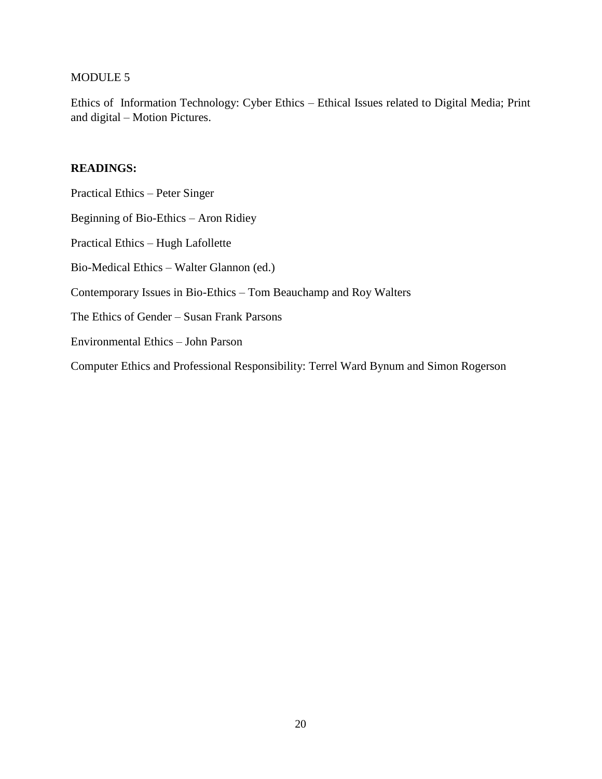# MODULE 5

Ethics of Information Technology: Cyber Ethics – Ethical Issues related to Digital Media; Print and digital – Motion Pictures.

| Practical Ethics – Peter Singer                                                       |
|---------------------------------------------------------------------------------------|
| Beginning of Bio-Ethics – Aron Ridiey                                                 |
| Practical Ethics – Hugh Lafollette                                                    |
| Bio-Medical Ethics – Walter Glannon (ed.)                                             |
| Contemporary Issues in Bio-Ethics – Tom Beauchamp and Roy Walters                     |
| The Ethics of Gender – Susan Frank Parsons                                            |
| Environmental Ethics - John Parson                                                    |
| Computer Ethics and Professional Responsibility: Terrel Ward Bynum and Simon Rogerson |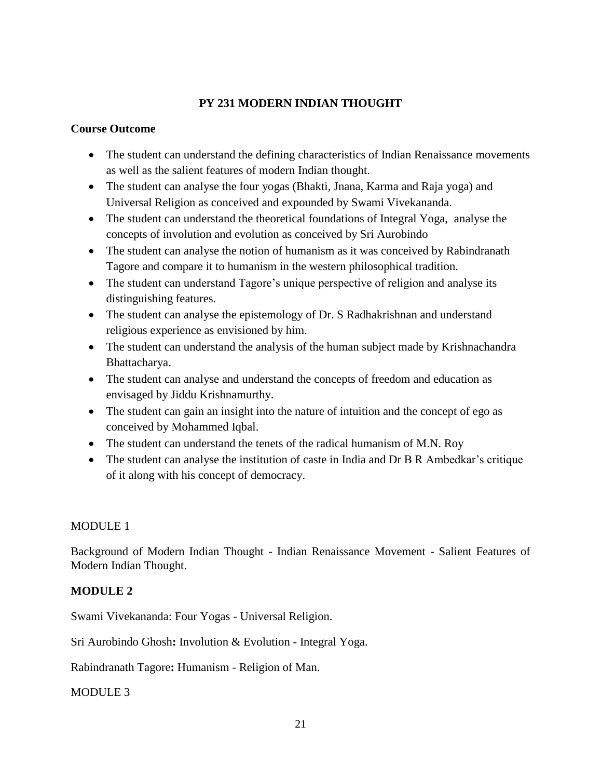# **PY 231 MODERN INDIAN THOUGHT**

### **Course Outcome**

- The student can understand the defining characteristics of Indian Renaissance movements as well as the salient features of modern Indian thought.
- The student can analyse the four yogas (Bhakti, Jnana, Karma and Raja yoga) and Universal Religion as conceived and expounded by Swami Vivekananda.
- The student can understand the theoretical foundations of Integral Yoga, analyse the concepts of involution and evolution as conceived by Sri Aurobindo
- The student can analyse the notion of humanism as it was conceived by Rabindranath Tagore and compare it to humanism in the western philosophical tradition.
- The student can understand Tagore's unique perspective of religion and analyse its distinguishing features.
- The student can analyse the epistemology of Dr. S Radhakrishnan and understand religious experience as envisioned by him.
- The student can understand the analysis of the human subject made by Krishnachandra Bhattacharya.
- The student can analyse and understand the concepts of freedom and education as envisaged by Jiddu Krishnamurthy.
- The student can gain an insight into the nature of intuition and the concept of ego as conceived by Mohammed Iqbal.
- The student can understand the tenets of the radical humanism of M.N. Roy
- The student can analyse the institution of caste in India and Dr B R Ambedkar's critique of it along with his concept of democracy.

### MODULE 1

Background of Modern Indian Thought - Indian Renaissance Movement - Salient Features of Modern Indian Thought.

### **MODULE 2**

Swami Vivekananda: Four Yogas - Universal Religion.

Sri Aurobindo Ghosh**:** Involution & Evolution - Integral Yoga.

Rabindranath Tagore**:** Humanism - Religion of Man.

MODULE 3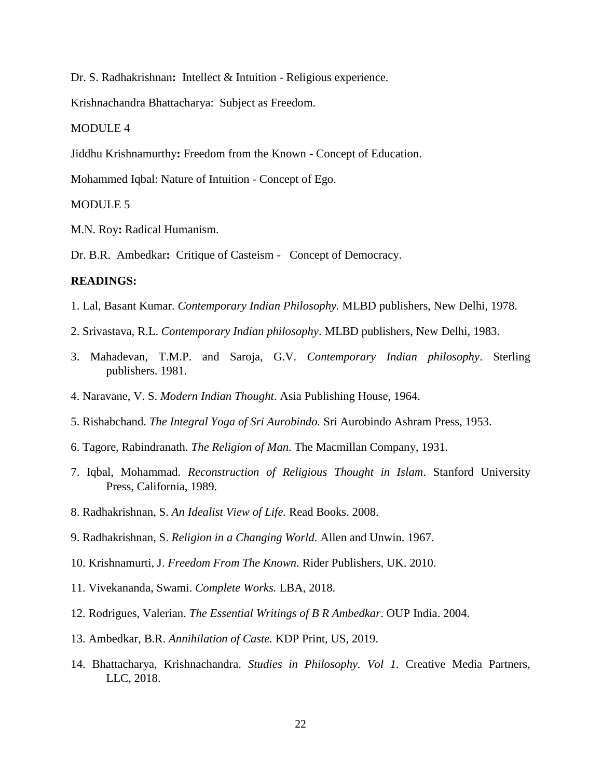Dr. S. Radhakrishnan**:** Intellect & Intuition - Religious experience.

Krishnachandra Bhattacharya: Subject as Freedom.

#### MODULE 4

Jiddhu Krishnamurthy**:** Freedom from the Known - Concept of Education.

Mohammed Iqbal: Nature of Intuition - Concept of Ego.

#### MODULE 5

M.N. Roy**:** Radical Humanism.

Dr. B.R. Ambedkar**:** Critique of Casteism - Concept of Democracy.

- 1. Lal, Basant Kumar. *Contemporary Indian Philosophy.* MLBD publishers, New Delhi, 1978.
- 2. Srivastava, R.L. *Contemporary Indian philosophy*. MLBD publishers, New Delhi, 1983.
- 3. Mahadevan, T.M.P. and Saroja, G.V. *Contemporary Indian philosophy*. Sterling publishers. 1981.
- 4. Naravane, V. S. *Modern Indian Thought*. Asia Publishing House, 1964.
- 5. Rishabchand. *The Integral Yoga of Sri Aurobindo.* Sri Aurobindo Ashram Press, 1953.
- 6. Tagore, Rabindranath. *The Religion of Man*. The Macmillan Company, 1931.
- 7. Iqbal, Mohammad. *Reconstruction of Religious Thought in Islam*. Stanford University Press, California, 1989.
- 8. Radhakrishnan, S. *An Idealist View of Life.* Read Books. 2008.
- 9. Radhakrishnan, S. *Religion in a Changing World.* Allen and Unwin. 1967.
- 10. Krishnamurti, J. *Freedom From The Known.* Rider Publishers, UK. 2010.
- 11. Vivekananda, Swami. *Complete Works.* LBA, 2018.
- 12. Rodrigues, Valerian. *The Essential Writings of B R Ambedkar*. OUP India. 2004.
- 13. Ambedkar, B.R. *Annihilation of Caste.* KDP Print, US, 2019.
- 14. Bhattacharya, Krishnachandra. *Studies in Philosophy. Vol 1.* Creative Media Partners, LLC, 2018.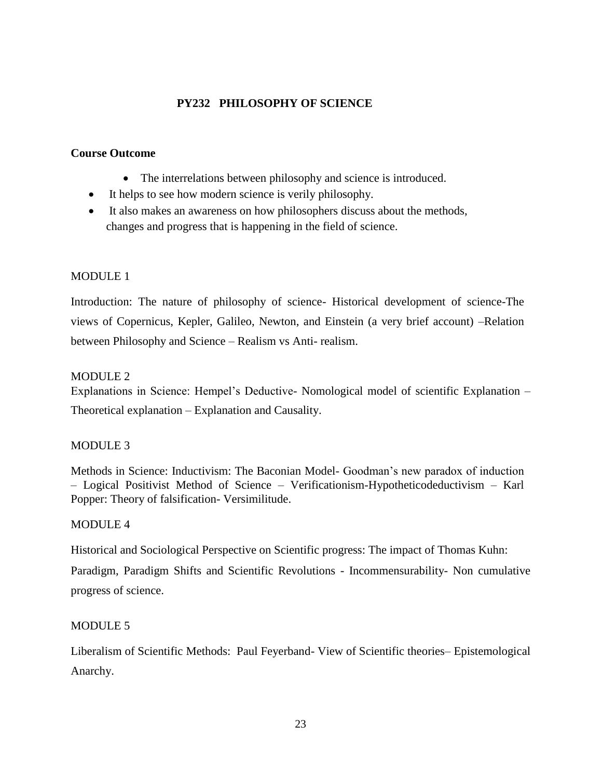### **PY232 PHILOSOPHY OF SCIENCE**

#### **Course Outcome**

- The interrelations between philosophy and science is introduced.
- It helps to see how modern science is verily philosophy.
- It also makes an awareness on how philosophers discuss about the methods, changes and progress that is happening in the field of science.

### MODULE 1

Introduction: The nature of philosophy of science- Historical development of science-The views of Copernicus, Kepler, Galileo, Newton, and Einstein (a very brief account) –Relation between Philosophy and Science – Realism vs Anti- realism.

### MODULE<sub>2</sub>

Explanations in Science: Hempel's Deductive- Nomological model of scientific Explanation – Theoretical explanation – Explanation and Causality.

#### MODULE 3

Methods in Science: Inductivism: The Baconian Model- Goodman's new paradox of induction – Logical Positivist Method of Science – Verificationism-Hypotheticodeductivism – Karl Popper: Theory of falsification- Versimilitude.

#### MODULE 4

Historical and Sociological Perspective on Scientific progress: The impact of Thomas Kuhn:

Paradigm, Paradigm Shifts and Scientific Revolutions - Incommensurability- Non cumulative progress of science.

### MODULE 5

Liberalism of Scientific Methods: Paul Feyerband- View of Scientific theories– Epistemological Anarchy.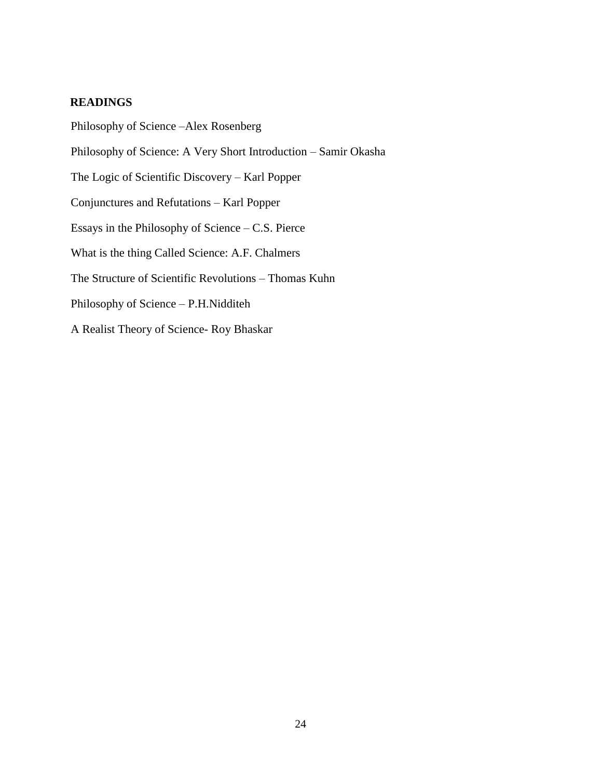### **READINGS**

Philosophy of Science –Alex Rosenberg Philosophy of Science: A Very Short Introduction – Samir Okasha The Logic of Scientific Discovery – Karl Popper Conjunctures and Refutations – Karl Popper Essays in the Philosophy of Science – C.S. Pierce What is the thing Called Science: A.F. Chalmers The Structure of Scientific Revolutions – Thomas Kuhn Philosophy of Science – P.H.Nidditeh A Realist Theory of Science- Roy Bhaskar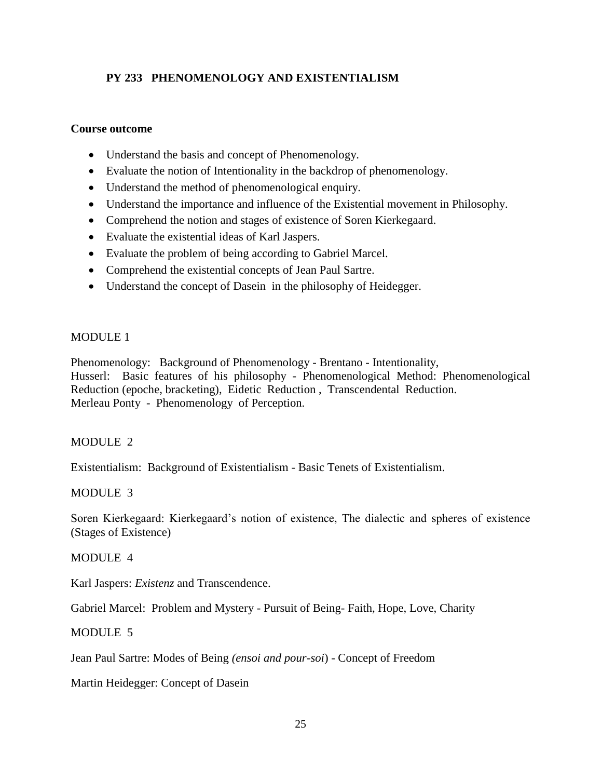# **PY 233 PHENOMENOLOGY AND EXISTENTIALISM**

### **Course outcome**

- Understand the basis and concept of Phenomenology.
- Evaluate the notion of Intentionality in the backdrop of phenomenology.
- Understand the method of phenomenological enquiry.
- Understand the importance and influence of the Existential movement in Philosophy.
- Comprehend the notion and stages of existence of Soren Kierkegaard.
- Evaluate the existential ideas of Karl Jaspers.
- Evaluate the problem of being according to Gabriel Marcel.
- Comprehend the existential concepts of Jean Paul Sartre.
- Understand the concept of Dasein in the philosophy of Heidegger.

### MODULE 1

Phenomenology: Background of Phenomenology - Brentano - Intentionality, Husserl: Basic features of his philosophy - Phenomenological Method: Phenomenological Reduction (epoche, bracketing), Eidetic Reduction , Transcendental Reduction. Merleau Ponty - Phenomenology of Perception.

### MODULE<sub>2</sub>

Existentialism: Background of Existentialism - Basic Tenets of Existentialism.

### MODULE 3

Soren Kierkegaard: Kierkegaard's notion of existence, The dialectic and spheres of existence (Stages of Existence)

#### MODULE 4

Karl Jaspers: *Existenz* and Transcendence.

Gabriel Marcel: Problem and Mystery - Pursuit of Being- Faith, Hope, Love, Charity

### MODULE 5

Jean Paul Sartre: Modes of Being *(ensoi and pour-soi*) - Concept of Freedom

Martin Heidegger: Concept of Dasein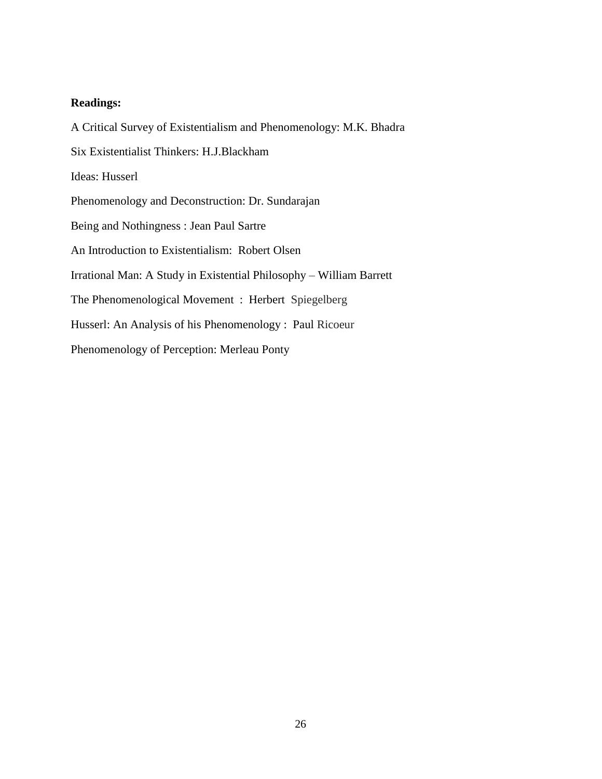#### **Readings:**

A Critical Survey of Existentialism and Phenomenology: M.K. Bhadra Six Existentialist Thinkers: H.J.Blackham Ideas: Husserl Phenomenology and Deconstruction: Dr. Sundarajan Being and Nothingness : Jean Paul Sartre An Introduction to Existentialism: Robert Olsen Irrational Man: A Study in Existential Philosophy – William Barrett The Phenomenological Movement : Herbert Spiegelberg Husserl: An Analysis of his Phenomenology : Paul Ricoeur Phenomenology of Perception: Merleau Ponty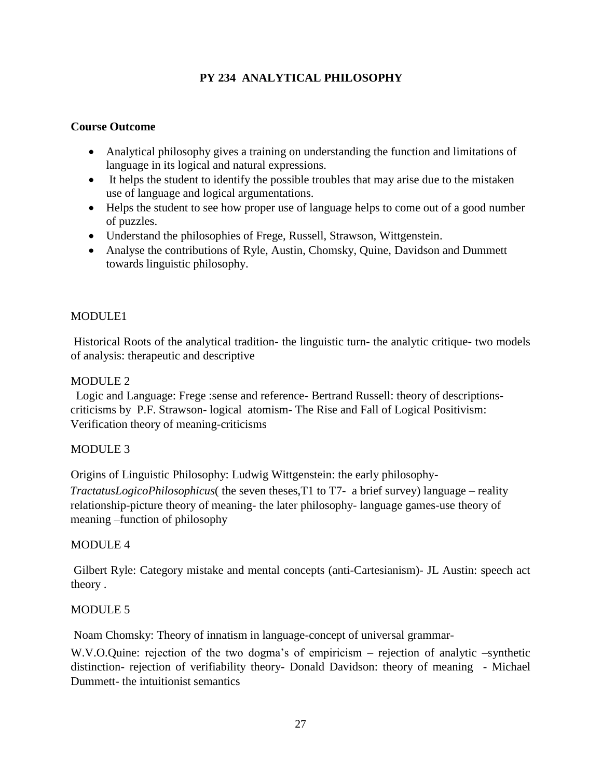# **PY 234 ANALYTICAL PHILOSOPHY**

### **Course Outcome**

- Analytical philosophy gives a training on understanding the function and limitations of language in its logical and natural expressions.
- It helps the student to identify the possible troubles that may arise due to the mistaken use of language and logical argumentations.
- Helps the student to see how proper use of language helps to come out of a good number of puzzles.
- Understand the philosophies of Frege, Russell, Strawson, Wittgenstein.
- Analyse the contributions of Ryle, Austin, Chomsky, Quine, Davidson and Dummett towards linguistic philosophy.

### MODULE1

Historical Roots of the analytical tradition- the linguistic turn- the analytic critique- two models of analysis: therapeutic and descriptive

### MODULE<sub>2</sub>

 Logic and Language: Frege :sense and reference- Bertrand Russell: theory of descriptionscriticisms by P.F. Strawson- logical atomism- The Rise and Fall of Logical Positivism: Verification theory of meaning-criticisms

#### MODULE 3

Origins of Linguistic Philosophy: Ludwig Wittgenstein: the early philosophy-

*TractatusLogicoPhilosophicus*( the seven theses,T1 to T7- a brief survey) language – reality relationship-picture theory of meaning- the later philosophy- language games-use theory of meaning –function of philosophy

#### MODULE 4

Gilbert Ryle: Category mistake and mental concepts (anti-Cartesianism)- JL Austin: speech act theory .

#### MODULE 5

Noam Chomsky: Theory of innatism in language-concept of universal grammar-

W.V.O.Quine: rejection of the two dogma's of empiricism – rejection of analytic –synthetic distinction- rejection of verifiability theory- Donald Davidson: theory of meaning - Michael Dummett- the intuitionist semantics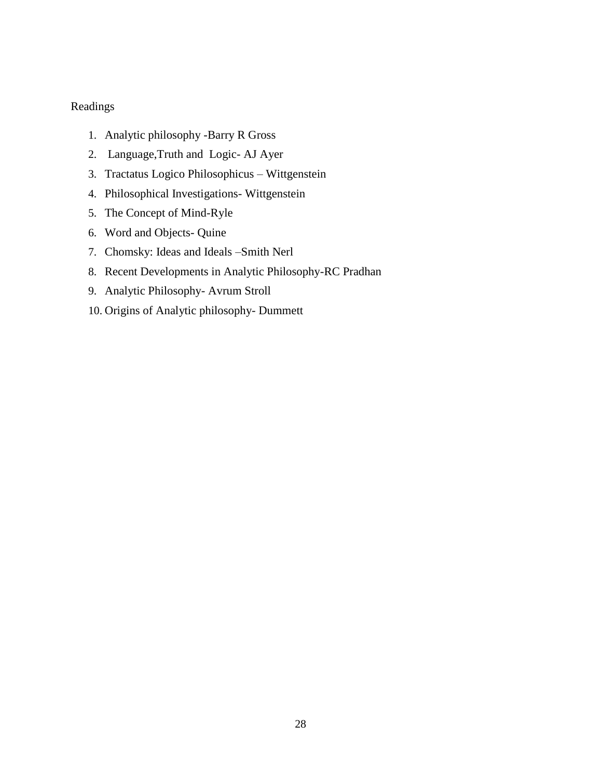## Readings

- 1. Analytic philosophy -Barry R Gross
- 2. Language,Truth and Logic- AJ Ayer
- 3. Tractatus Logico Philosophicus Wittgenstein
- 4. Philosophical Investigations- Wittgenstein
- 5. The Concept of Mind-Ryle
- 6. Word and Objects- Quine
- 7. Chomsky: Ideas and Ideals –Smith Nerl
- 8. Recent Developments in Analytic Philosophy-RC Pradhan
- 9. Analytic Philosophy- Avrum Stroll
- 10. Origins of Analytic philosophy- Dummett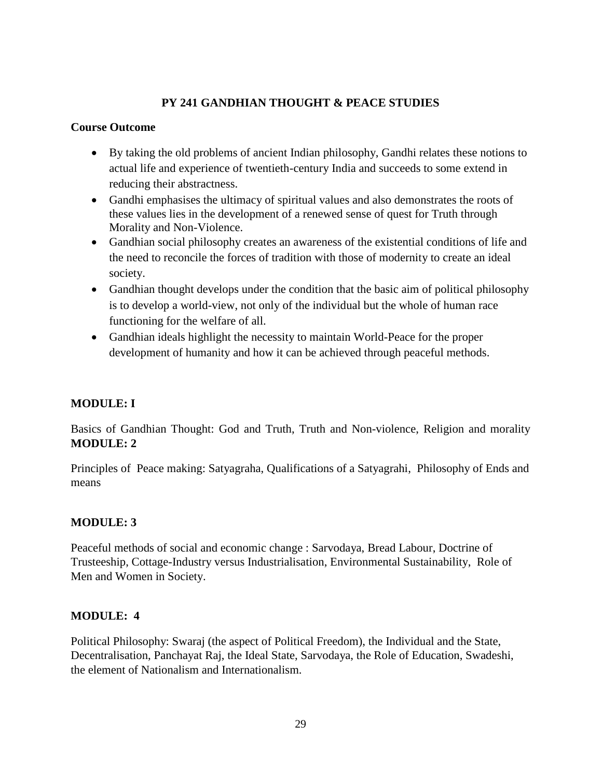# **PY 241 GANDHIAN THOUGHT & PEACE STUDIES**

### **Course Outcome**

- By taking the old problems of ancient Indian philosophy, Gandhi relates these notions to actual life and experience of twentieth-century India and succeeds to some extend in reducing their abstractness.
- Gandhi emphasises the ultimacy of spiritual values and also demonstrates the roots of these values lies in the development of a renewed sense of quest for Truth through Morality and Non-Violence.
- Gandhian social philosophy creates an awareness of the existential conditions of life and the need to reconcile the forces of tradition with those of modernity to create an ideal society.
- Gandhian thought develops under the condition that the basic aim of political philosophy is to develop a world-view, not only of the individual but the whole of human race functioning for the welfare of all.
- Gandhian ideals highlight the necessity to maintain World-Peace for the proper development of humanity and how it can be achieved through peaceful methods.

### **MODULE: I**

Basics of Gandhian Thought: God and Truth, Truth and Non-violence, Religion and morality **MODULE: 2**

Principles of Peace making: Satyagraha, Qualifications of a Satyagrahi, Philosophy of Ends and means

### **MODULE: 3**

Peaceful methods of social and economic change : Sarvodaya, Bread Labour, Doctrine of Trusteeship, Cottage-Industry versus Industrialisation, Environmental Sustainability, Role of Men and Women in Society.

### **MODULE: 4**

Political Philosophy: Swaraj (the aspect of Political Freedom), the Individual and the State, Decentralisation, Panchayat Raj, the Ideal State, Sarvodaya, the Role of Education, Swadeshi, the element of Nationalism and Internationalism.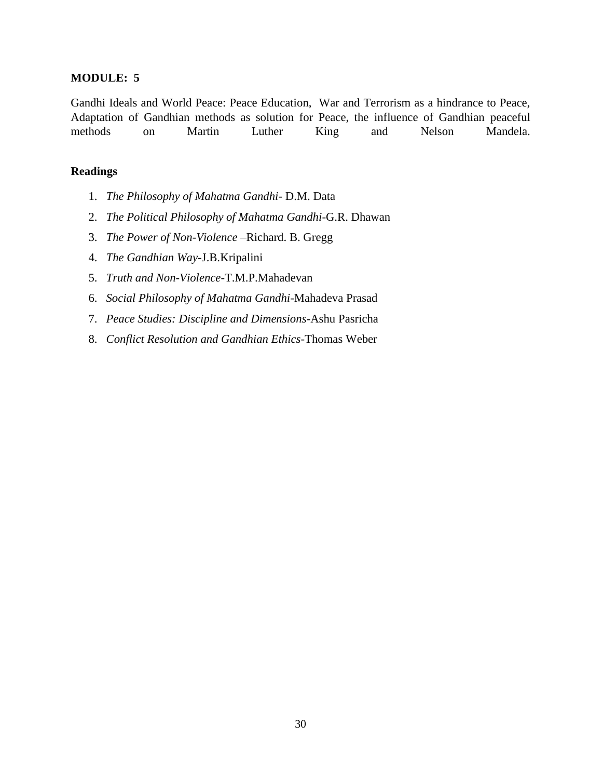#### **MODULE: 5**

Gandhi Ideals and World Peace: Peace Education, War and Terrorism as a hindrance to Peace, Adaptation of Gandhian methods as solution for Peace, the influence of Gandhian peaceful methods on Martin Luther King and Nelson Mandela.

#### **Readings**

- 1. *The Philosophy of Mahatma Gandhi* D.M. Data
- 2. *The Political Philosophy of Mahatma Gandhi*-G.R. Dhawan
- 3. *The Power of Non-Violence* –Richard. B. Gregg
- 4. *The Gandhian Way*-J.B.Kripalini
- 5. *Truth and Non-Violence*-T.M.P.Mahadevan
- 6. *Social Philosophy of Mahatma Gandhi*-Mahadeva Prasad
- 7. *Peace Studies: Discipline and Dimensions*-Ashu Pasricha
- 8. *Conflict Resolution and Gandhian Ethics*-Thomas Weber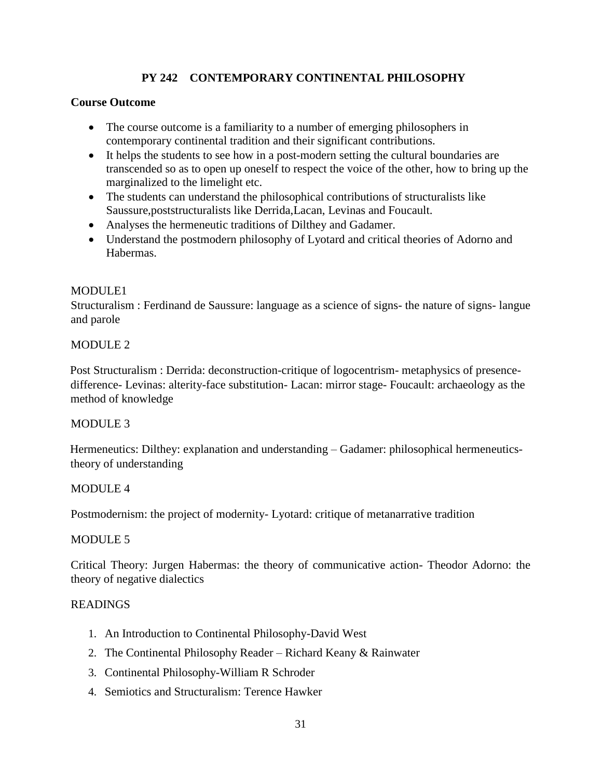# **PY 242 CONTEMPORARY CONTINENTAL PHILOSOPHY**

### **Course Outcome**

- The course outcome is a familiarity to a number of emerging philosophers in contemporary continental tradition and their significant contributions.
- It helps the students to see how in a post-modern setting the cultural boundaries are transcended so as to open up oneself to respect the voice of the other, how to bring up the marginalized to the limelight etc.
- The students can understand the philosophical contributions of structuralists like Saussure,poststructuralists like Derrida,Lacan, Levinas and Foucault.
- Analyses the hermeneutic traditions of Dilthey and Gadamer.
- Understand the postmodern philosophy of Lyotard and critical theories of Adorno and Habermas.

### MODULE1

Structuralism : Ferdinand de Saussure: language as a science of signs- the nature of signs- langue and parole

#### MODULE 2

Post Structuralism : Derrida: deconstruction-critique of logocentrism- metaphysics of presencedifference- Levinas: alterity-face substitution- Lacan: mirror stage- Foucault: archaeology as the method of knowledge

### MODULE 3

Hermeneutics: Dilthey: explanation and understanding – Gadamer: philosophical hermeneuticstheory of understanding

#### MODULE 4

Postmodernism: the project of modernity- Lyotard: critique of metanarrative tradition

#### MODULE 5

Critical Theory: Jurgen Habermas: the theory of communicative action- Theodor Adorno: the theory of negative dialectics

- 1. An Introduction to Continental Philosophy-David West
- 2. The Continental Philosophy Reader Richard Keany & Rainwater
- 3. Continental Philosophy-William R Schroder
- 4. Semiotics and Structuralism: Terence Hawker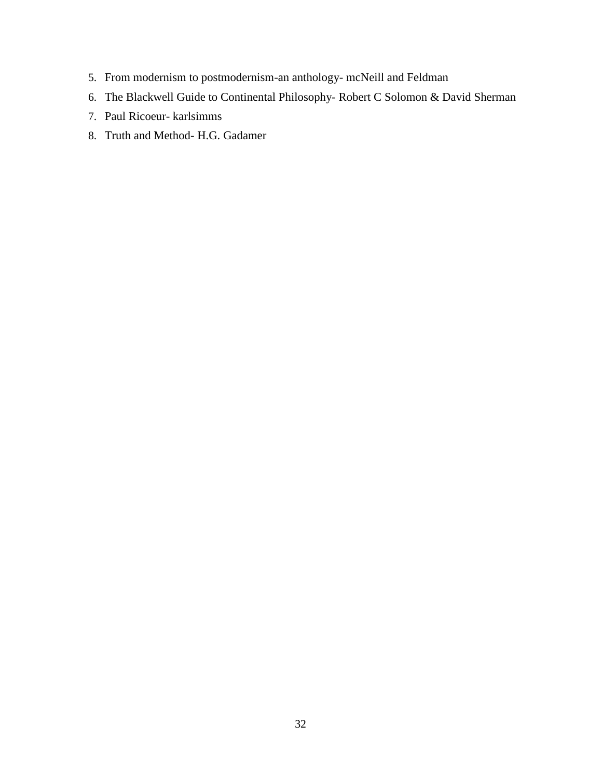- 5. From modernism to postmodernism-an anthology- mcNeill and Feldman
- 6. The Blackwell Guide to Continental Philosophy- Robert C Solomon & David Sherman
- 7. Paul Ricoeur- karlsimms
- 8. Truth and Method- H.G. Gadamer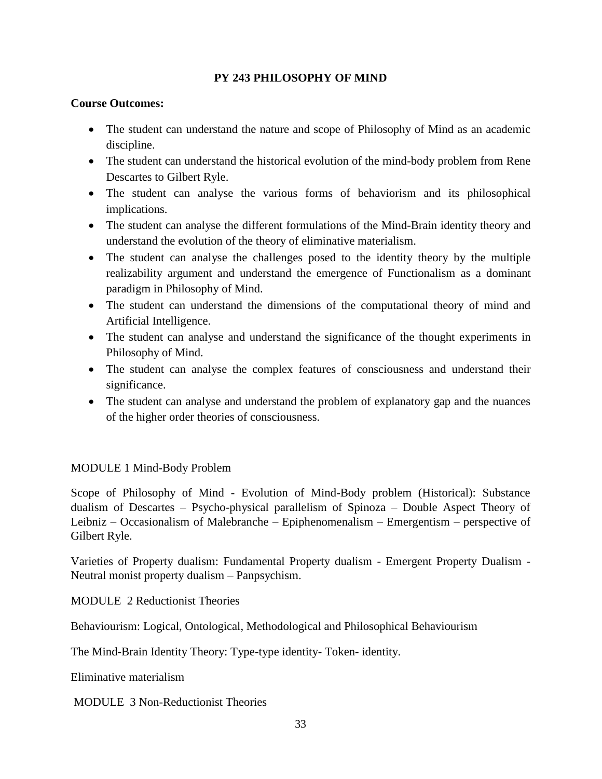### **PY 243 PHILOSOPHY OF MIND**

### **Course Outcomes:**

- The student can understand the nature and scope of Philosophy of Mind as an academic discipline.
- The student can understand the historical evolution of the mind-body problem from Rene Descartes to Gilbert Ryle.
- The student can analyse the various forms of behaviorism and its philosophical implications.
- The student can analyse the different formulations of the Mind-Brain identity theory and understand the evolution of the theory of eliminative materialism.
- The student can analyse the challenges posed to the identity theory by the multiple realizability argument and understand the emergence of Functionalism as a dominant paradigm in Philosophy of Mind.
- The student can understand the dimensions of the computational theory of mind and Artificial Intelligence.
- The student can analyse and understand the significance of the thought experiments in Philosophy of Mind.
- The student can analyse the complex features of consciousness and understand their significance.
- The student can analyse and understand the problem of explanatory gap and the nuances of the higher order theories of consciousness.

### MODULE 1 Mind-Body Problem

Scope of Philosophy of Mind - Evolution of Mind-Body problem (Historical): Substance dualism of Descartes – Psycho-physical parallelism of Spinoza – Double Aspect Theory of Leibniz – Occasionalism of Malebranche – Epiphenomenalism – Emergentism – perspective of Gilbert Ryle.

Varieties of Property dualism: Fundamental Property dualism - Emergent Property Dualism - Neutral monist property dualism – Panpsychism.

MODULE 2 Reductionist Theories

Behaviourism: Logical, Ontological, Methodological and Philosophical Behaviourism

The Mind-Brain Identity Theory: Type-type identity- Token- identity.

Eliminative materialism

MODULE 3 Non-Reductionist Theories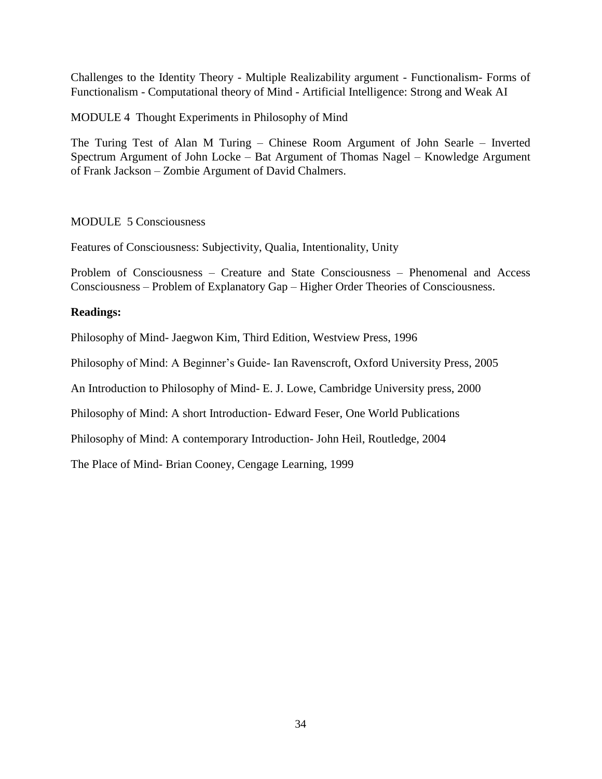Challenges to the Identity Theory - Multiple Realizability argument - Functionalism- Forms of Functionalism - Computational theory of Mind - Artificial Intelligence: Strong and Weak AI

MODULE 4 Thought Experiments in Philosophy of Mind

The Turing Test of Alan M Turing – Chinese Room Argument of John Searle – Inverted Spectrum Argument of John Locke – Bat Argument of Thomas Nagel – Knowledge Argument of Frank Jackson – Zombie Argument of David Chalmers.

### MODULE 5 Consciousness

Features of Consciousness: Subjectivity, Qualia, Intentionality, Unity

Problem of Consciousness – Creature and State Consciousness – Phenomenal and Access Consciousness – Problem of Explanatory Gap – Higher Order Theories of Consciousness.

### **Readings:**

Philosophy of Mind- Jaegwon Kim, Third Edition, Westview Press, 1996

Philosophy of Mind: A Beginner's Guide- Ian Ravenscroft, Oxford University Press, 2005

An Introduction to Philosophy of Mind- E. J. Lowe, Cambridge University press, 2000

Philosophy of Mind: A short Introduction- Edward Feser, One World Publications

Philosophy of Mind: A contemporary Introduction- John Heil, Routledge, 2004

The Place of Mind- Brian Cooney, Cengage Learning, 1999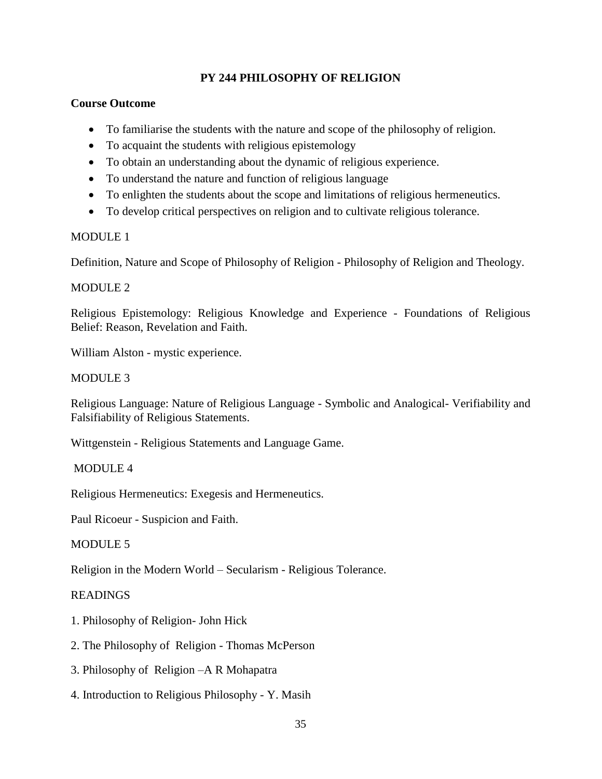### **PY 244 PHILOSOPHY OF RELIGION**

### **Course Outcome**

- To familiarise the students with the nature and scope of the philosophy of religion.
- To acquaint the students with religious epistemology
- To obtain an understanding about the dynamic of religious experience.
- To understand the nature and function of religious language
- To enlighten the students about the scope and limitations of religious hermeneutics.
- To develop critical perspectives on religion and to cultivate religious tolerance.

### MODULE<sub>1</sub>

Definition, Nature and Scope of Philosophy of Religion - Philosophy of Religion and Theology.

### MODULE 2

Religious Epistemology: Religious Knowledge and Experience - Foundations of Religious Belief: Reason, Revelation and Faith.

William Alston - mystic experience.

### MODULE 3

Religious Language: Nature of Religious Language - Symbolic and Analogical- Verifiability and Falsifiability of Religious Statements.

Wittgenstein - Religious Statements and Language Game.

### MODULE 4

Religious Hermeneutics: Exegesis and Hermeneutics.

Paul Ricoeur - Suspicion and Faith.

### MODULE 5

Religion in the Modern World – Secularism - Religious Tolerance.

- 1. Philosophy of Religion- John Hick
- 2. The Philosophy of Religion Thomas McPerson
- 3. Philosophy of Religion –A R Mohapatra
- 4. Introduction to Religious Philosophy Y. Masih